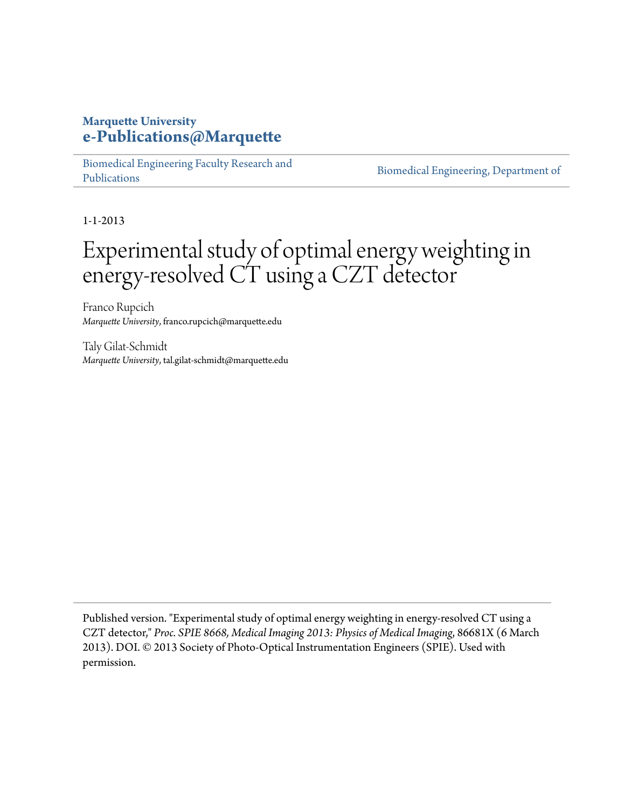### **Marquette University [e-Publications@Marquette](https://epublications.marquette.edu)**

[Biomedical Engineering Faculty Research and](https://epublications.marquette.edu/bioengin_fac) [Publications](https://epublications.marquette.edu/bioengin_fac)

[Biomedical Engineering, Department of](https://epublications.marquette.edu/bioengin)

1-1-2013

## Experimental study of optimal energy weighting in energy-resolved CT using a CZT detector

Franco Rupcich *Marquette University*, franco.rupcich@marquette.edu

Taly Gilat-Schmidt *Marquette University*, tal.gilat-schmidt@marquette.edu

Published version. "Experimental study of optimal energy weighting in energy-resolved CT using a CZT detector," *Proc. SPIE 8668, Medical Imaging 2013: Physics of Medical Imaging*, 86681X (6 March 2013). DOI. © 2013 Society of Photo-Optical Instrumentation Engineers (SPIE). Used with permission.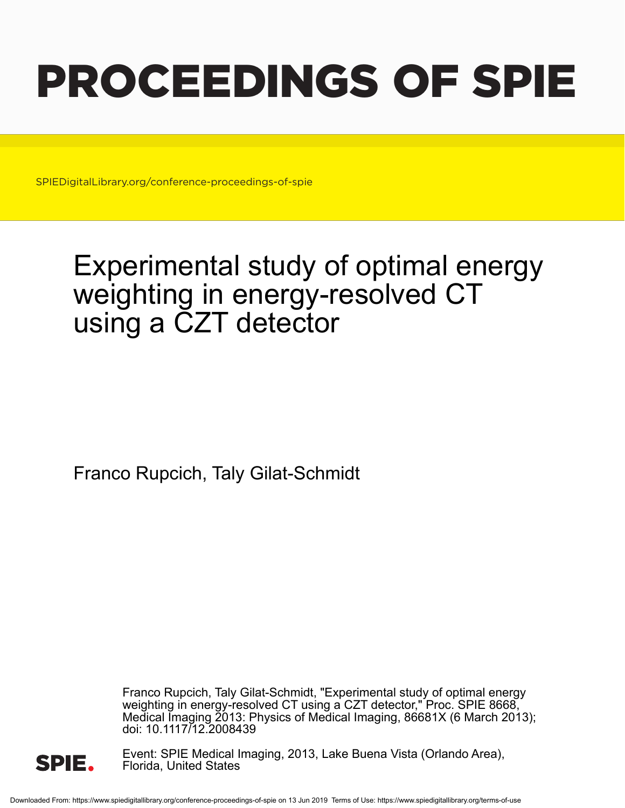# PROCEEDINGS OF SPIE

SPIEDigitalLibrary.org/conference-proceedings-of-spie

# Experimental study of optimal energy weighting in energy-resolved CT using a CZT detector

Franco Rupcich, Taly Gilat-Schmidt

Franco Rupcich, Taly Gilat-Schmidt, "Experimental study of optimal energy weighting in energy-resolved CT using a CZT detector," Proc. SPIE 8668, Medical Imaging 2013: Physics of Medical Imaging, 86681X (6 March 2013); doi: 10.1117/12.2008439



Event: SPIE Medical Imaging, 2013, Lake Buena Vista (Orlando Area), Florida, United States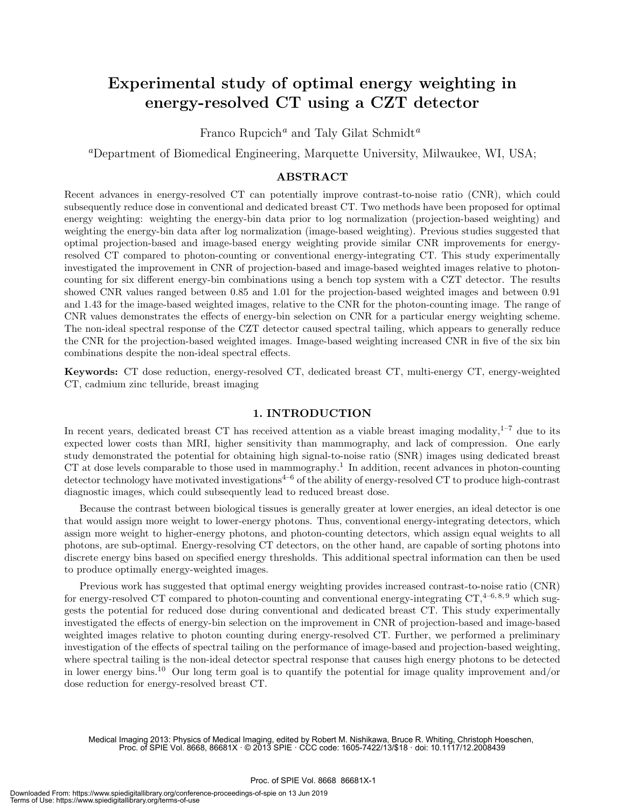## Experimental study of optimal energy weighting in energy-resolved CT using a CZT detector

Franco Rupcich<sup>a</sup> and Taly Gilat Schmidt<sup>a</sup>

<sup>a</sup>Department of Biomedical Engineering, Marquette University, Milwaukee, WI, USA;

#### ABSTRACT

Recent advances in energy-resolved CT can potentially improve contrast-to-noise ratio (CNR), which could subsequently reduce dose in conventional and dedicated breast CT. Two methods have been proposed for optimal energy weighting: weighting the energy-bin data prior to log normalization (projection-based weighting) and weighting the energy-bin data after log normalization (image-based weighting). Previous studies suggested that optimal projection-based and image-based energy weighting provide similar CNR improvements for energyresolved CT compared to photon-counting or conventional energy-integrating CT. This study experimentally investigated the improvement in CNR of projection-based and image-based weighted images relative to photoncounting for six different energy-bin combinations using a bench top system with a CZT detector. The results showed CNR values ranged between 0.85 and 1.01 for the projection-based weighted images and between 0.91 and 1.43 for the image-based weighted images, relative to the CNR for the photon-counting image. The range of CNR values demonstrates the effects of energy-bin selection on CNR for a particular energy weighting scheme. The non-ideal spectral response of the CZT detector caused spectral tailing, which appears to generally reduce the CNR for the projection-based weighted images. Image-based weighting increased CNR in five of the six bin combinations despite the non-ideal spectral effects.

Keywords: CT dose reduction, energy-resolved CT, dedicated breast CT, multi-energy CT, energy-weighted CT, cadmium zinc telluride, breast imaging

#### 1. INTRODUCTION

In recent years, dedicated breast CT has received attention as a viable breast imaging modality, $1^{-7}$  due to its expected lower costs than MRI, higher sensitivity than mammography, and lack of compression. One early study demonstrated the potential for obtaining high signal-to-noise ratio (SNR) images using dedicated breast CT at dose levels comparable to those used in mammography.<sup>1</sup> In addition, recent advances in photon-counting detector technology have motivated investigations<sup>4–6</sup> of the ability of energy-resolved CT to produce high-contrast diagnostic images, which could subsequently lead to reduced breast dose.

Because the contrast between biological tissues is generally greater at lower energies, an ideal detector is one that would assign more weight to lower-energy photons. Thus, conventional energy-integrating detectors, which assign more weight to higher-energy photons, and photon-counting detectors, which assign equal weights to all photons, are sub-optimal. Energy-resolving CT detectors, on the other hand, are capable of sorting photons into discrete energy bins based on specified energy thresholds. This additional spectral information can then be used to produce optimally energy-weighted images.

Previous work has suggested that optimal energy weighting provides increased contrast-to-noise ratio (CNR) for energy-resolved CT compared to photon-counting and conventional energy-integrating  $CT,4-6,8,9$  which suggests the potential for reduced dose during conventional and dedicated breast CT. This study experimentally investigated the effects of energy-bin selection on the improvement in CNR of projection-based and image-based weighted images relative to photon counting during energy-resolved CT. Further, we performed a preliminary investigation of the effects of spectral tailing on the performance of image-based and projection-based weighting, where spectral tailing is the non-ideal detector spectral response that causes high energy photons to be detected in lower energy bins.<sup>10</sup> Our long term goal is to quantify the potential for image quality improvement and/or dose reduction for energy-resolved breast CT.

Medical Imaging 2013: Physics of Medical Imaging, edited by Robert M. Nishikawa, Bruce R. Whiting, Christoph Hoeschen, Proc. of SPIE Vol. 8668, 86681X · © 2013 SPIE · CCC code: 1605-7422/13/\$18 · doi: 10.1117/12.2008439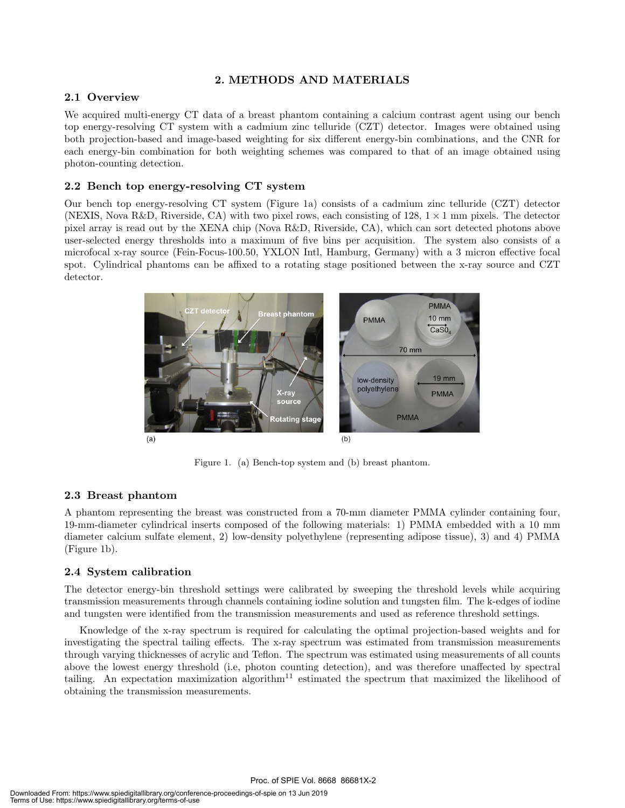#### 2. METHODS AND MATERIALS

#### 2.1 Overview

We acquired multi-energy CT data of a breast phantom containing a calcium contrast agent using our bench top energy-resolving CT system with a cadmium zinc telluride (CZT) detector. Images were obtained using both projection-based and image-based weighting for six different energy-bin combinations, and the CNR for each energy-bin combination for both weighting schemes was compared to that of an image obtained using photon-counting detection.

#### 2.2 Bench top energy-resolving CT system

Our bench top energy-resolving CT system (Figure 1a) consists of a cadmium zinc telluride (CZT) detector (NEXIS, Nova R&D, Riverside, CA) with two pixel rows, each consisting of 128,  $1 \times 1$  mm pixels. The detector pixel array is read out by the XENA chip (Nova R&D, Riverside, CA), which can sort detected photons above user-selected energy thresholds into a maximum of five bins per acquisition. The system also consists of a microfocal x-ray source (Fein-Focus-100.50, YXLON Intl, Hamburg, Germany) with a 3 micron effective focal spot. Cylindrical phantoms can be affixed to a rotating stage positioned between the x-ray source and CZT detector.



Figure 1. (a) Bench-top system and (b) breast phantom.

#### 2.3 Breast phantom

A phantom representing the breast was constructed from a 70-mm diameter PMMA cylinder containing four, 19-mm-diameter cylindrical inserts composed of the following materials: 1) PMMA embedded with a 10 mm diameter calcium sulfate element, 2) low-density polyethylene (representing adipose tissue), 3) and 4) PMMA (Figure 1b).

#### 2.4 System calibration

The detector energy-bin threshold settings were calibrated by sweeping the threshold levels while acquiring transmission measurements through channels containing iodine solution and tungsten film. The k-edges of iodine and tungsten were identified from the transmission measurements and used as reference threshold settings.

Knowledge of the x-ray spectrum is required for calculating the optimal projection-based weights and for investigating the spectral tailing effects. The x-ray spectrum was estimated from transmission measurements through varying thicknesses of acrylic and Teflon. The spectrum was estimated using measurements of all counts above the lowest energy threshold (i.e, photon counting detection), and was therefore unaffected by spectral tailing. An expectation maximization algorithm<sup>11</sup> estimated the spectrum that maximized the likelihood of obtaining the transmission measurements.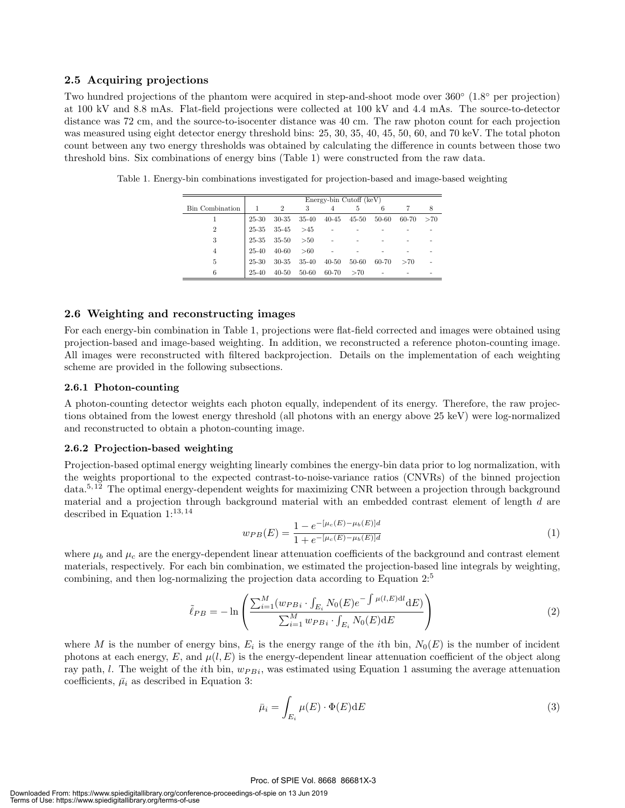#### 2.5 Acquiring projections

Two hundred projections of the phantom were acquired in step-and-shoot mode over 360° (1.8° per projection) at 100 kV and 8.8 mAs. Flat-field projections were collected at 100 kV and 4.4 mAs. The source-to-detector distance was 72 cm, and the source-to-isocenter distance was 40 cm. The raw photon count for each projection was measured using eight detector energy threshold bins: 25, 30, 35, 40, 45, 50, 60, and 70 keV. The total photon count between any two energy thresholds was obtained by calculating the difference in counts between those two threshold bins. Six combinations of energy bins (Table 1) were constructed from the raw data.

|                        | Energy-bin Cutoff $(keV)$ |           |           |           |           |           |       |     |  |
|------------------------|---------------------------|-----------|-----------|-----------|-----------|-----------|-------|-----|--|
| <b>Bin Combination</b> |                           | 2         | 3         | 4         | 5         | 6         |       | 8   |  |
|                        | 25-30                     | $30 - 35$ | $35 - 40$ | $40 - 45$ | $45 - 50$ | $50 - 60$ | 60-70 | >70 |  |
| 2                      | 25-35                     | $35 - 45$ | >45       | -         |           |           |       |     |  |
| 3                      | 25-35                     | $35 - 50$ | >50       | ٠         |           |           |       |     |  |
| 4                      | $25 - 40$                 | $40 - 60$ | >60       | ۰         |           |           |       |     |  |
| 5                      | $25 - 30$                 | $30 - 35$ | $35 - 40$ | $40 - 50$ | 50-60     | 60-70     | >70   |     |  |
| 6                      | $25 - 40$                 | $40 - 50$ | $50 - 60$ | 60-70     | >70       |           |       |     |  |

Table 1. Energy-bin combinations investigated for projection-based and image-based weighting

#### 2.6 Weighting and reconstructing images

For each energy-bin combination in Table 1, projections were flat-field corrected and images were obtained using projection-based and image-based weighting. In addition, we reconstructed a reference photon-counting image. All images were reconstructed with filtered backprojection. Details on the implementation of each weighting scheme are provided in the following subsections.

#### 2.6.1 Photon-counting

A photon-counting detector weights each photon equally, independent of its energy. Therefore, the raw projections obtained from the lowest energy threshold (all photons with an energy above 25 keV) were log-normalized and reconstructed to obtain a photon-counting image.

#### 2.6.2 Projection-based weighting

Projection-based optimal energy weighting linearly combines the energy-bin data prior to log normalization, with the weights proportional to the expected contrast-to-noise-variance ratios (CNVRs) of the binned projection data.5, 12 The optimal energy-dependent weights for maximizing CNR between a projection through background material and a projection through background material with an embedded contrast element of length  $d$  are described in Equation  $1:^{13,14}$ 

$$
w_{PB}(E) = \frac{1 - e^{-\left[\mu_c(E) - \mu_b(E)\right]d}}{1 + e^{-\left[\mu_c(E) - \mu_b(E)\right]d}}
$$
(1)

where  $\mu_b$  and  $\mu_c$  are the energy-dependent linear attenuation coefficients of the background and contrast element materials, respectively. For each bin combination, we estimated the projection-based line integrals by weighting, combining, and then log-normalizing the projection data according to Equation 2:<sup>5</sup>

$$
\tilde{\ell}_{PB} = -\ln\left(\frac{\sum_{i=1}^{M} (w_{PBi} \cdot \int_{E_i} N_0(E)e^{-\int \mu(l,E)dl} \mathrm{d}E)}{\sum_{i=1}^{M} w_{PBi} \cdot \int_{E_i} N_0(E) \mathrm{d}E}\right)
$$
\n(2)

where M is the number of energy bins,  $E_i$  is the energy range of the *i*th bin,  $N_0(E)$  is the number of incident photons at each energy, E, and  $\mu(l, E)$  is the energy-dependent linear attenuation coefficient of the object along ray path, l. The weight of the *i*th bin,  $w_{PBi}$ , was estimated using Equation 1 assuming the average attenuation coefficients,  $\bar{\mu}_i$  as described in Equation 3:

$$
\bar{\mu}_i = \int_{E_i} \mu(E) \cdot \Phi(E) \mathrm{d}E \tag{3}
$$

#### Proc. of SPIE Vol. 8668 86681X-3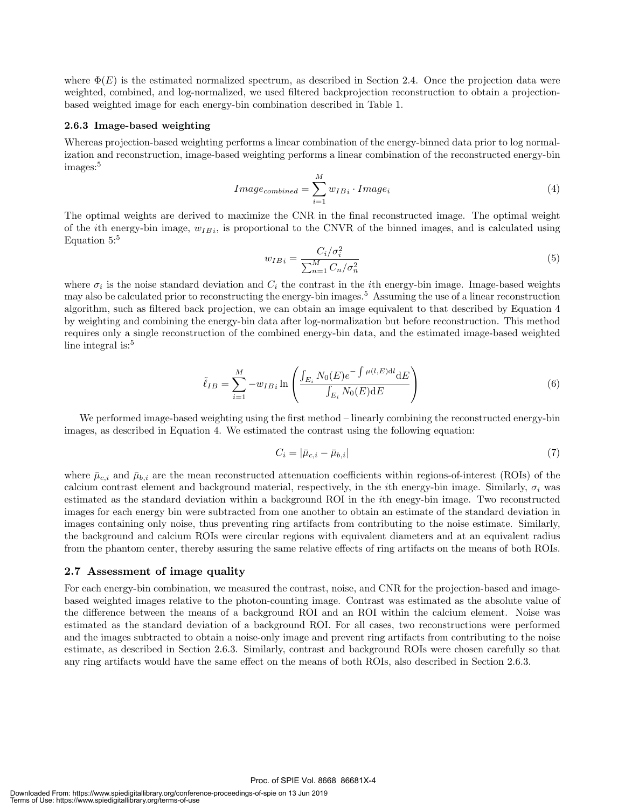where  $\Phi(E)$  is the estimated normalized spectrum, as described in Section 2.4. Once the projection data were weighted, combined, and log-normalized, we used filtered backprojection reconstruction to obtain a projectionbased weighted image for each energy-bin combination described in Table 1.

#### 2.6.3 Image-based weighting

Whereas projection-based weighting performs a linear combination of the energy-binned data prior to log normalization and reconstruction, image-based weighting performs a linear combination of the reconstructed energy-bin images:<sup>5</sup>

$$
Image_{combined} = \sum_{i=1}^{M} w_{IBi} \cdot Image_i \tag{4}
$$

The optimal weights are derived to maximize the CNR in the final reconstructed image. The optimal weight of the *i*th energy-bin image,  $w_{IBi}$ , is proportional to the CNVR of the binned images, and is calculated using Equation  $5:5$ 

$$
w_{IBi} = \frac{C_i/\sigma_i^2}{\sum_{n=1}^M C_n/\sigma_n^2}
$$
\n
$$
\tag{5}
$$

where  $\sigma_i$  is the noise standard deviation and  $C_i$  the contrast in the *i*th energy-bin image. Image-based weights may also be calculated prior to reconstructing the energy-bin images.<sup>5</sup> Assuming the use of a linear reconstruction algorithm, such as filtered back projection, we can obtain an image equivalent to that described by Equation 4 by weighting and combining the energy-bin data after log-normalization but before reconstruction. This method requires only a single reconstruction of the combined energy-bin data, and the estimated image-based weighted line integral is:<sup>5</sup>

$$
\tilde{\ell}_{IB} = \sum_{i=1}^{M} -w_{IBi} \ln \left( \frac{\int_{E_i} N_0(E) e^{-\int \mu(l,E) \mathrm{d}l} \mathrm{d}E}{\int_{E_i} N_0(E) \mathrm{d}E} \right) \tag{6}
$$

We performed image-based weighting using the first method – linearly combining the reconstructed energy-bin images, as described in Equation 4. We estimated the contrast using the following equation:

$$
C_i = |\bar{\mu}_{c,i} - \bar{\mu}_{b,i}| \tag{7}
$$

where  $\bar{\mu}_{c,i}$  and  $\bar{\mu}_{b,i}$  are the mean reconstructed attenuation coefficients within regions-of-interest (ROIs) of the calcium contrast element and background material, respectively, in the *i*th energy-bin image. Similarly,  $\sigma_i$  was estimated as the standard deviation within a background ROI in the ith enegy-bin image. Two reconstructed images for each energy bin were subtracted from one another to obtain an estimate of the standard deviation in images containing only noise, thus preventing ring artifacts from contributing to the noise estimate. Similarly, the background and calcium ROIs were circular regions with equivalent diameters and at an equivalent radius from the phantom center, thereby assuring the same relative effects of ring artifacts on the means of both ROIs.

#### 2.7 Assessment of image quality

For each energy-bin combination, we measured the contrast, noise, and CNR for the projection-based and imagebased weighted images relative to the photon-counting image. Contrast was estimated as the absolute value of the difference between the means of a background ROI and an ROI within the calcium element. Noise was estimated as the standard deviation of a background ROI. For all cases, two reconstructions were performed and the images subtracted to obtain a noise-only image and prevent ring artifacts from contributing to the noise estimate, as described in Section 2.6.3. Similarly, contrast and background ROIs were chosen carefully so that any ring artifacts would have the same effect on the means of both ROIs, also described in Section 2.6.3.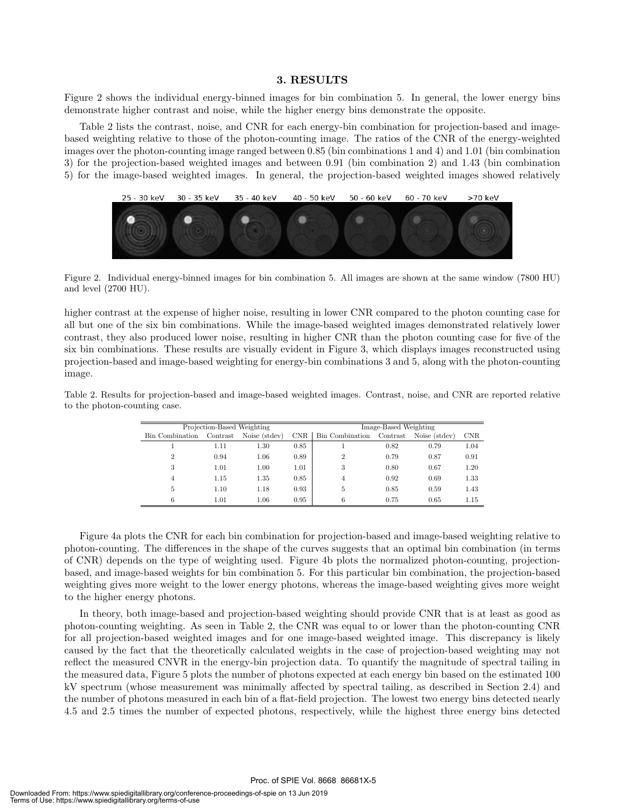#### 3. RESULTS

Figure 2 shows the individual energy-binned images for bin combination 5. In general, the lower energy bins demonstrate higher contrast and noise, while the higher energy bins demonstrate the opposite.

Table 2 lists the contrast, noise, and CNR for each energy-bin combination for projection-based and imagebased weighting relative to those of the photon-counting image. The ratios of the CNR of the energy-weighted images over the photon-counting image ranged between 0.85 (bin combinations 1 and 4) and 1.01 (bin combination 3) for the projection-based weighted images and between 0.91 (bin combination 2) and 1.43 (bin combination 5) for the image-based weighted images. In general, the projection-based weighted images showed relatively



Figure 2. Individual energy-binned images for bin combination 5. All images are shown at the same window (7800 HU) and level (2700 HU).

higher contrast at the expense of higher noise, resulting in lower CNR compared to the photon counting case for all but one of the six bin combinations. While the image-based weighted images demonstrated relatively lower contrast, they also produced lower noise, resulting in higher CNR than the photon counting case for five of the six bin combinations. These results are visually evident in Figure 3, which displays images reconstructed using projection-based and image-based weighting for energy-bin combinations 3 and 5, along with the photon-counting image.

| to the photon-counting case. |                            |                       |  |
|------------------------------|----------------------------|-----------------------|--|
|                              | Projection-Based Weighting | Image-Based Weighting |  |

Table 2. Results for projection-based and image-based weighted images. Contrast, noise, and CNR are reported relative

|                 | Projection-Based Weighting |               | Image-Based Weighting |                 |          |               |      |
|-----------------|----------------------------|---------------|-----------------------|-----------------|----------|---------------|------|
| Bin Combination | Contrast                   | Noise (stdev) | CNR.                  | Bin Combination | Contrast | Noise (stdev) | CNR. |
|                 | 1.11                       | 1.30          | 0.85                  |                 | 0.82     | 0.79          | 1.04 |
| 2               | 0.94                       | 1.06          | 0.89                  | 2               | 0.79     | 0.87          | 0.91 |
| 3               | 1.01                       | 1.00          | 1.01                  | 3               | 0.80     | 0.67          | 1.20 |
| $\overline{4}$  | 1.15                       | 1.35          | 0.85                  | 4               | 0.92     | 0.69          | 1.33 |
| 5               | 1.10                       | 1.18          | 0.93                  | 5.              | 0.85     | 0.59          | 1.43 |
| 6               | 1.01                       | 1.06          | 0.95                  | 6               | 0.75     | 0.65          | 1.15 |

Figure 4a plots the CNR for each bin combination for projection-based and image-based weighting relative to photon-counting. The differences in the shape of the curves suggests that an optimal bin combination (in terms of CNR) depends on the type of weighting used. Figure 4b plots the normalized photon-counting, projectionbased, and image-based weights for bin combination 5. For this particular bin combination, the projection-based weighting gives more weight to the lower energy photons, whereas the image-based weighting gives more weight to the higher energy photons.

In theory, both image-based and projection-based weighting should provide CNR that is at least as good as photon-counting weighting. As seen in Table 2, the CNR was equal to or lower than the photon-counting CNR for all projection-based weighted images and for one image-based weighted image. This discrepancy is likely caused by the fact that the theoretically calculated weights in the case of projection-based weighting may not reflect the measured CNVR in the energy-bin projection data. To quantify the magnitude of spectral tailing in the measured data, Figure 5 plots the number of photons expected at each energy bin based on the estimated 100 kV spectrum (whose measurement was minimally affected by spectral tailing, as described in Section 2.4) and the number of photons measured in each bin of a flat-field projection. The lowest two energy bins detected nearly 4.5 and 2.5 times the number of expected photons, respectively, while the highest three energy bins detected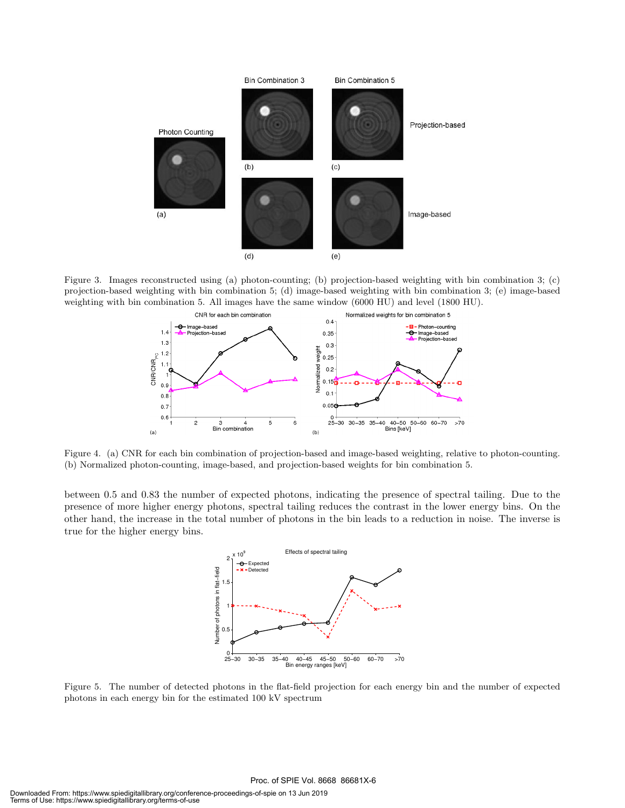

Figure 3. Images reconstructed using (a) photon-counting; (b) projection-based weighting with bin combination 3; (c) projection-based weighting with bin combination 5; (d) image-based weighting with bin combination 3; (e) image-based weighting with bin combination 5. All images have the same window (6000 HU) and level (1800 HU).



Figure 4. (a) CNR for each bin combination of projection-based and image-based weighting, relative to photon-counting. (b) Normalized photon-counting, image-based, and projection-based weights for bin combination 5.

between 0.5 and 0.83 the number of expected photons, indicating the presence of spectral tailing. Due to the presence of more higher energy photons, spectral tailing reduces the contrast in the lower energy bins. On the other hand, the increase in the total number of photons in the bin leads to a reduction in noise. The inverse is true for the higher energy bins.



Figure 5. The number of detected photons in the flat-field projection for each energy bin and the number of expected photons in each energy bin for the estimated 100 kV spectrum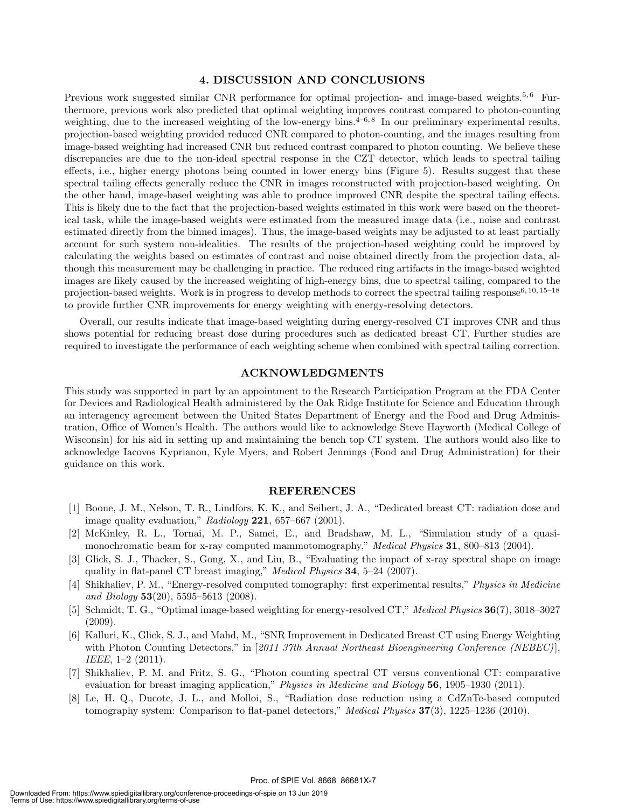#### 4. DISCUSSION AND CONCLUSIONS

Previous work suggested similar CNR performance for optimal projection- and image-based weights.<sup>5,6</sup> Furthermore, previous work also predicted that optimal weighting improves contrast compared to photon-counting weighting, due to the increased weighting of the low-energy bins.  $4-6, 8$  In our preliminary experimental results, projection-based weighting provided reduced CNR compared to photon-counting, and the images resulting from image-based weighting had increased CNR but reduced contrast compared to photon counting. We believe these discrepancies are due to the non-ideal spectral response in the CZT detector, which leads to spectral tailing effects, i.e., higher energy photons being counted in lower energy bins (Figure 5). Results suggest that these spectral tailing effects generally reduce the CNR in images reconstructed with projection-based weighting. On the other hand, image-based weighting was able to produce improved CNR despite the spectral tailing effects. This is likely due to the fact that the projection-based weights estimated in this work were based on the theoretical task, while the image-based weights were estimated from the measured image data (i.e., noise and contrast estimated directly from the binned images). Thus, the image-based weights may be adjusted to at least partially account for such system non-idealities. The results of the projection-based weighting could be improved by calculating the weights based on estimates of contrast and noise obtained directly from the projection data, although this measurement may be challenging in practice. The reduced ring artifacts in the image-based weighted images are likely caused by the increased weighting of high-energy bins, due to spectral tailing, compared to the projection-based weights. Work is in progress to develop methods to correct the spectral tailing response<sup>6, 10, 15–18</sup> to provide further CNR improvements for energy weighting with energy-resolving detectors.

Overall, our results indicate that image-based weighting during energy-resolved CT improves CNR and thus shows potential for reducing breast dose during procedures such as dedicated breast CT. Further studies are required to investigate the performance of each weighting scheme when combined with spectral tailing correction.

#### ACKNOWLEDGMENTS

This study was supported in part by an appointment to the Research Participation Program at the FDA Center for Devices and Radiological Health administered by the Oak Ridge Institute for Science and Education through an interagency agreement between the United States Department of Energy and the Food and Drug Administration, Office of Women's Health. The authors would like to acknowledge Steve Hayworth (Medical College of Wisconsin) for his aid in setting up and maintaining the bench top CT system. The authors would also like to acknowledge Iacovos Kyprianou, Kyle Myers, and Robert Jennings (Food and Drug Administration) for their guidance on this work.

#### REFERENCES

- [1] Boone, J. M., Nelson, T. R., Lindfors, K. K., and Seibert, J. A., "Dedicated breast CT: radiation dose and image quality evaluation," Radiology 221, 657-667 (2001).
- [2] McKinley, R. L., Tornai, M. P., Samei, E., and Bradshaw, M. L., "Simulation study of a quasimonochromatic beam for x-ray computed mammotomography," Medical Physics 31, 800–813 (2004).
- [3] Glick, S. J., Thacker, S., Gong, X., and Liu, B., "Evaluating the impact of x-ray spectral shape on image quality in flat-panel CT breast imaging," Medical Physics 34, 5–24 (2007).
- [4] Shikhaliev, P. M., "Energy-resolved computed tomography: first experimental results," Physics in Medicine and Biology  $53(20)$ ,  $5595-5613$  (2008).
- [5] Schmidt, T. G., "Optimal image-based weighting for energy-resolved CT," Medical Physics 36(7), 3018–3027 (2009).
- [6] Kalluri, K., Glick, S. J., and Mahd, M., "SNR Improvement in Dedicated Breast CT using Energy Weighting with Photon Counting Detectors," in [2011 37th Annual Northeast Bioengineering Conference (NEBEC)], IEEE, 1–2 (2011).
- [7] Shikhaliev, P. M. and Fritz, S. G., "Photon counting spectral CT versus conventional CT: comparative evaluation for breast imaging application," *Physics in Medicine and Biology* 56, 1905–1930 (2011).
- [8] Le, H. Q., Ducote, J. L., and Molloi, S., "Radiation dose reduction using a CdZnTe-based computed tomography system: Comparison to flat-panel detectors," *Medical Physics* 37(3), 1225–1236 (2010).